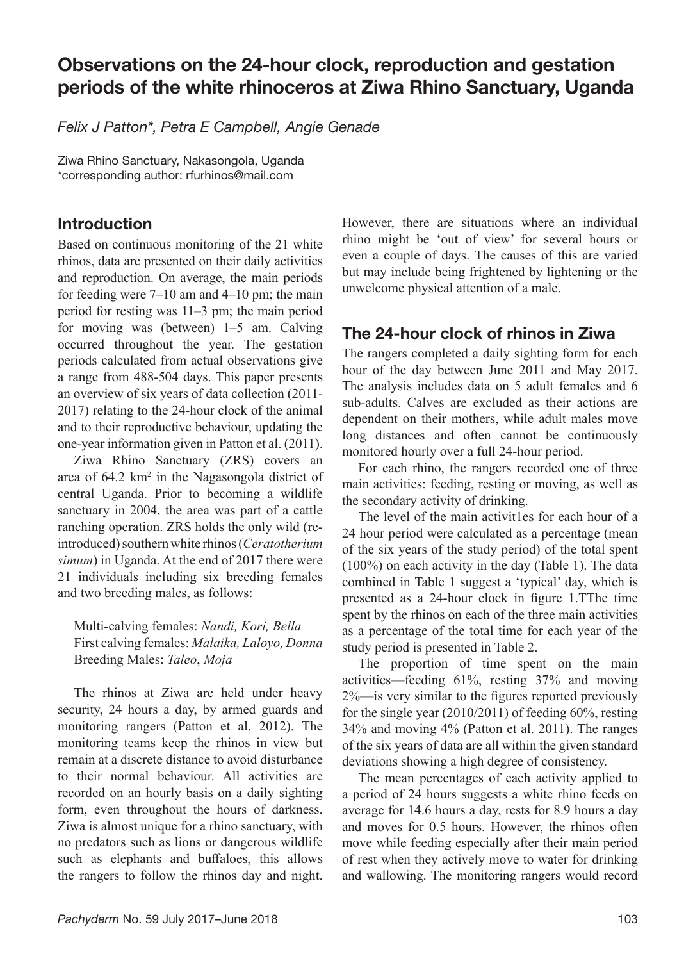# Observations on the 24-hour clock, reproduction and gestation periods of the white rhinoceros at Ziwa Rhino Sanctuary, Uganda

*Felix J Patton\*, Petra E Campbell, Angie Genade*

Ziwa Rhino Sanctuary, Nakasongola, Uganda \*corresponding author: rfurhinos@mail.com

# Introduction

Based on continuous monitoring of the 21 white rhinos, data are presented on their daily activities and reproduction. On average, the main periods for feeding were  $7-10$  am and  $4-10$  pm; the main period for resting was 11–3 pm; the main period for moving was (between) 1–5 am. Calving occurred throughout the year. The gestation periods calculated from actual observations give a range from 488-504 days. This paper presents an overview of six years of data collection (2011- 2017) relating to the 24-hour clock of the animal and to their reproductive behaviour, updating the one-year information given in Patton et al. (2011).

Ziwa Rhino Sanctuary (ZRS) covers an area of 64.2 km<sup>2</sup> in the Nagasongola district of central Uganda. Prior to becoming a wildlife sanctuary in 2004, the area was part of a cattle ranching operation. ZRS holds the only wild (reintroduced) southern white rhinos (*Ceratotherium simum*) in Uganda. At the end of 2017 there were 21 individuals including six breeding females and two breeding males, as follows:

Multi-calving females: *Nandi, Kori, Bella* First calving females: *Malaika, Laloyo, Donna* Breeding Males: *Taleo*, *Moja*

The rhinos at Ziwa are held under heavy security, 24 hours a day, by armed guards and monitoring rangers (Patton et al. 2012). The monitoring teams keep the rhinos in view but remain at a discrete distance to avoid disturbance to their normal behaviour. All activities are recorded on an hourly basis on a daily sighting form, even throughout the hours of darkness. Ziwa is almost unique for a rhino sanctuary, with no predators such as lions or dangerous wildlife such as elephants and buffaloes, this allows the rangers to follow the rhinos day and night. However, there are situations where an individual rhino might be 'out of view' for several hours or even a couple of days. The causes of this are varied but may include being frightened by lightening or the unwelcome physical attention of a male.

# The 24-hour clock of rhinos in Ziwa

The rangers completed a daily sighting form for each hour of the day between June 2011 and May 2017. The analysis includes data on 5 adult females and 6 sub-adults. Calves are excluded as their actions are dependent on their mothers, while adult males move long distances and often cannot be continuously monitored hourly over a full 24-hour period.

For each rhino, the rangers recorded one of three main activities: feeding, resting or moving, as well as the secondary activity of drinking.

The level of the main activit1es for each hour of a 24 hour period were calculated as a percentage (mean of the six years of the study period) of the total spent (100%) on each activity in the day (Table 1). The data combined in Table 1 suggest a 'typical' day, which is presented as a 24-hour clock in figure 1.TThe time spent by the rhinos on each of the three main activities as a percentage of the total time for each year of the study period is presented in Table 2.

The proportion of time spent on the main activities—feeding 61%, resting 37% and moving 2%—is very similar to the figures reported previously for the single year (2010/2011) of feeding 60%, resting 34% and moving 4% (Patton et al. 2011). The ranges of the six years of data are all within the given standard deviations showing a high degree of consistency.

The mean percentages of each activity applied to a period of 24 hours suggests a white rhino feeds on average for 14.6 hours a day, rests for 8.9 hours a day and moves for 0.5 hours. However, the rhinos often move while feeding especially after their main period of rest when they actively move to water for drinking and wallowing. The monitoring rangers would record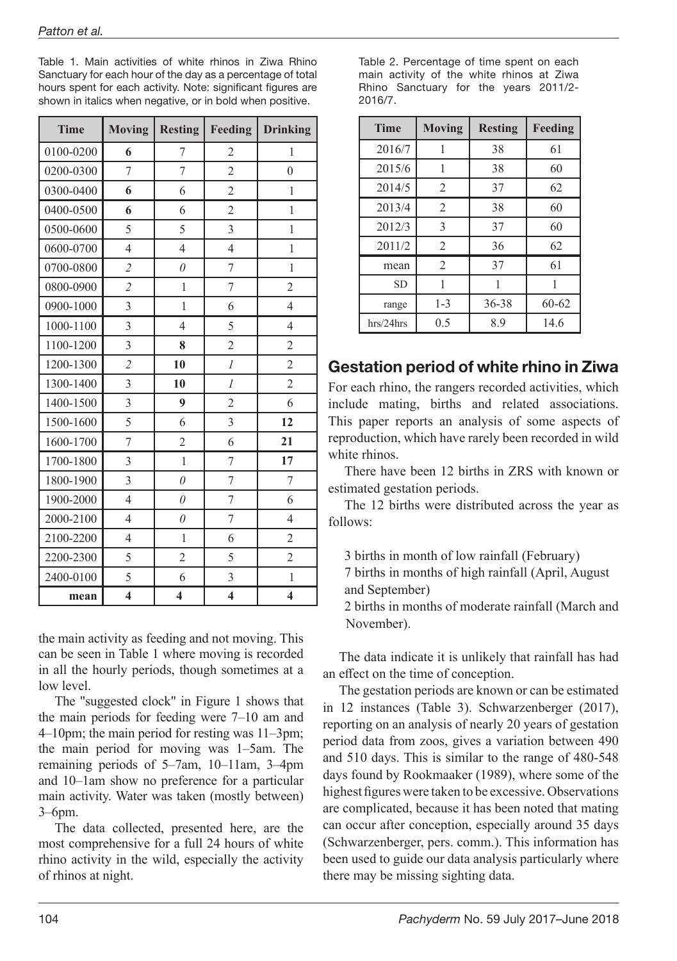Table 1. Main activities of white rhinos in Ziwa Rhino Sanctuary for each hour of the day as a percentage of total hours spent for each activity. Note: significant figures are shown in italics when negative, or in bold when positive.

| <b>Time</b> | <b>Moving</b>           | <b>Resting</b> | Feeding                 | <b>Drinking</b>         |
|-------------|-------------------------|----------------|-------------------------|-------------------------|
| 0100-0200   | 6                       | 7              | 2                       | 1                       |
| 0200-0300   | 7                       | 7              | $\overline{c}$          | $\theta$                |
| 0300-0400   | 6                       | 6              | $\overline{2}$          | 1                       |
| 0400-0500   | 6                       | 6              | $\overline{2}$          | 1                       |
| 0500-0600   | 5                       | 5              | 3                       | 1                       |
| 0600-0700   | $\overline{4}$          | 4              | $\overline{4}$          | 1                       |
| 0700-0800   | $\overline{2}$          | $\theta$       | 7                       | 1                       |
| 0800-0900   | $\overline{c}$          | $\mathbf{1}$   | 7                       | $\overline{2}$          |
| 0900-1000   | $\overline{3}$          | $\mathbf{1}$   | 6                       | $\overline{4}$          |
| 1000-1100   | 3                       | 4              | 5                       | 4                       |
| 1100-1200   | 3                       | 8              | $\overline{2}$          | $\overline{2}$          |
| 1200-1300   | $\overline{2}$          | 10             | $\mathcal{I}$           | $\overline{2}$          |
| 1300-1400   | 3                       | 10             | 1                       | $\overline{2}$          |
| 1400-1500   | 3                       | 9              | $\mathfrak{2}$          | 6                       |
| 1500-1600   | 5                       | 6              | 3                       | 12                      |
| 1600-1700   | 7                       | $\overline{2}$ | 6                       | 21                      |
| 1700-1800   | 3                       | 1              | 7                       | 17                      |
| 1800-1900   | 3                       | $\theta$       | 7                       | 7                       |
| 1900-2000   | $\overline{4}$          | $\theta$       | 7                       | 6                       |
| 2000-2100   | $\overline{4}$          | $\theta$       | 7                       | 4                       |
| 2100-2200   | $\overline{4}$          | $\mathbf{1}$   | 6                       | $\overline{2}$          |
| 2200-2300   | 5                       | $\overline{2}$ | 5                       | $\overline{2}$          |
| 2400-0100   | 5                       | 6              | 3                       | 1                       |
| mean        | $\overline{\mathbf{4}}$ | 4              | $\overline{\mathbf{4}}$ | $\overline{\mathbf{4}}$ |

the main activity as feeding and not moving. This can be seen in Table 1 where moving is recorded in all the hourly periods, though sometimes at a low level.

The "suggested clock" in Figure 1 shows that the main periods for feeding were 7–10 am and 4–10pm; the main period for resting was 11–3pm; the main period for moving was 1–5am. The remaining periods of 5–7am, 10–11am, 3–4pm and 10–1am show no preference for a particular main activity. Water was taken (mostly between) 3–6pm.

The data collected, presented here, are the most comprehensive for a full 24 hours of white rhino activity in the wild, especially the activity of rhinos at night.

Table 2. Percentage of time spent on each main activity of the white rhinos at Ziwa Rhino Sanctuary for the years 2011/2- 2016/7.

| <b>Time</b> | <b>Moving</b>  | <b>Resting</b> | Feeding   |
|-------------|----------------|----------------|-----------|
| 2016/7      | 1              | 38             | 61        |
| 2015/6      | 1              | 38             | 60        |
| 2014/5      | $\overline{c}$ | 37             | 62        |
| 2013/4      | $\overline{2}$ | 38             | 60        |
| 2012/3      | 3              | 37             | 60        |
| 2011/2      | $\overline{2}$ | 36             | 62        |
| mean        | $\overline{c}$ | 37             | 61        |
| <b>SD</b>   | 1              |                | 1         |
| range       | $1 - 3$        | $36 - 38$      | $60 - 62$ |
| hrs/24hrs   | 0.5            | 8.9            | 14.6      |

## Gestation period of white rhino in Ziwa

For each rhino, the rangers recorded activities, which include mating, births and related associations. This paper reports an analysis of some aspects of reproduction, which have rarely been recorded in wild white rhinos.

There have been 12 births in ZRS with known or estimated gestation periods.

The 12 births were distributed across the year as follows:

3 births in month of low rainfall (February)

7 births in months of high rainfall (April, August and September)

2 births in months of moderate rainfall (March and November).

The data indicate it is unlikely that rainfall has had an effect on the time of conception.

The gestation periods are known or can be estimated in 12 instances (Table 3). Schwarzenberger (2017), reporting on an analysis of nearly 20 years of gestation period data from zoos, gives a variation between 490 and 510 days. This is similar to the range of 480-548 days found by Rookmaaker (1989), where some of the highest figures were taken to be excessive. Observations are complicated, because it has been noted that mating can occur after conception, especially around 35 days (Schwarzenberger, pers. comm.). This information has been used to guide our data analysis particularly where there may be missing sighting data.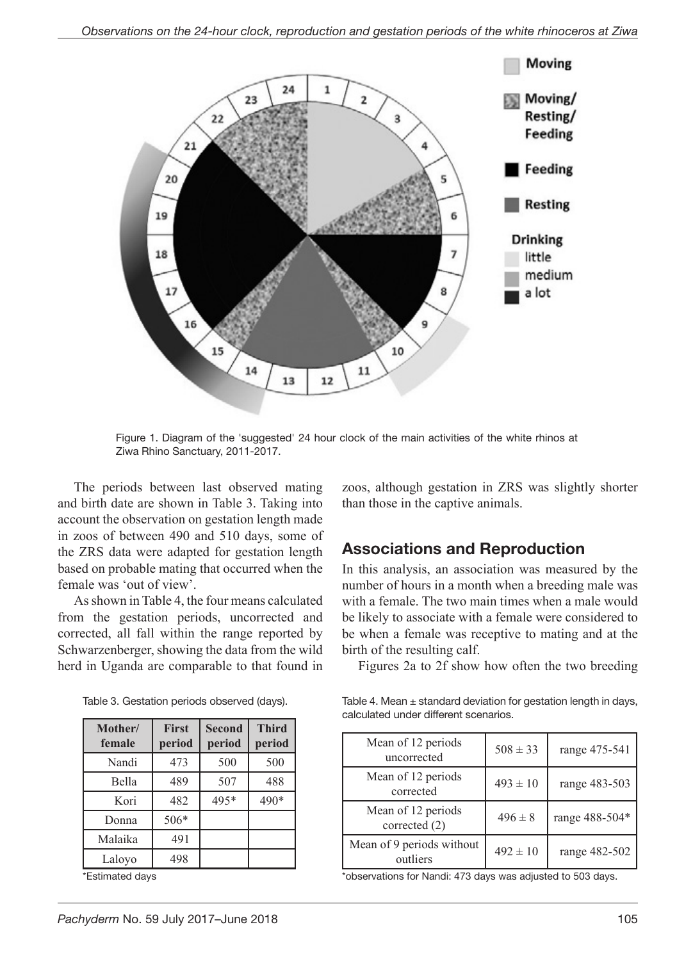

Figure 1. Diagram of the 'suggested' 24 hour clock of the main activities of the white rhinos at Ziwa Rhino Sanctuary, 2011-2017.

The periods between last observed mating and birth date are shown in Table 3. Taking into account the observation on gestation length made in zoos of between 490 and 510 days, some of the ZRS data were adapted for gestation length based on probable mating that occurred when the female was 'out of view'.

As shown in Table 4, the four means calculated from the gestation periods, uncorrected and corrected, all fall within the range reported by Schwarzenberger, showing the data from the wild herd in Uganda are comparable to that found in

| Mother/<br>female | <b>First</b><br>period | <b>Second</b><br>period | <b>Third</b><br>period |
|-------------------|------------------------|-------------------------|------------------------|
| Nandi             | 473                    | 500                     | 500                    |
| Bella             | 489                    | 507                     | 488                    |
| Kori              | 482                    | 495*                    | 490*                   |
| Donna             | 506*                   |                         |                        |
| Malaika           | 491                    |                         |                        |
| Laloyo            | 498                    |                         |                        |

Table 3. Gestation periods observed (days).

\*Estimated days

zoos, although gestation in ZRS was slightly shorter than those in the captive animals.

### Associations and Reproduction

In this analysis, an association was measured by the number of hours in a month when a breeding male was with a female. The two main times when a male would be likely to associate with a female were considered to be when a female was receptive to mating and at the birth of the resulting calf.

Figures 2a to 2f show how often the two breeding

Table 4. Mean  $\pm$  standard deviation for gestation length in days, calculated under different scenarios.

| Mean of 12 periods<br>uncorrected     | $508 \pm 33$ | range 475-541  |
|---------------------------------------|--------------|----------------|
| Mean of 12 periods<br>corrected       | $493 \pm 10$ | range 483-503  |
| Mean of 12 periods<br>corrected $(2)$ | $496 \pm 8$  | range 488-504* |
| Mean of 9 periods without<br>outliers | $492 \pm 10$ | range 482-502  |

\*observations for Nandi: 473 days was adjusted to 503 days.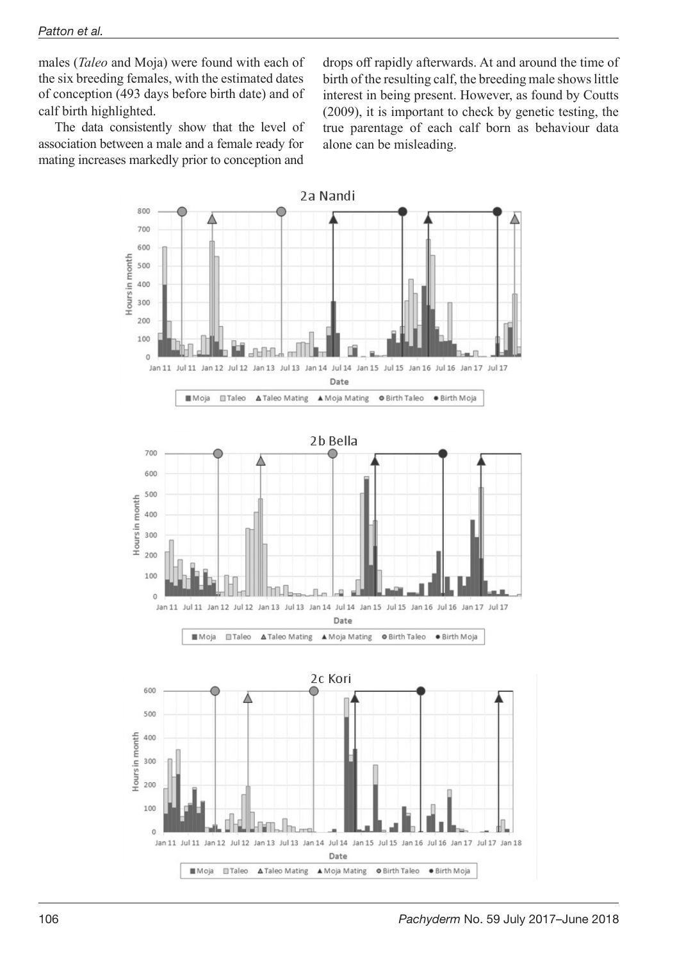males (*Taleo* and Moja) were found with each of the six breeding females, with the estimated dates of conception (493 days before birth date) and of calf birth highlighted.

The data consistently show that the level of association between a male and a female ready for mating increases markedly prior to conception and

drops off rapidly afterwards. At and around the time of birth of the resulting calf, the breeding male shows little interest in being present. However, as found by Coutts (2009), it is important to check by genetic testing, the true parentage of each calf born as behaviour data alone can be misleading.

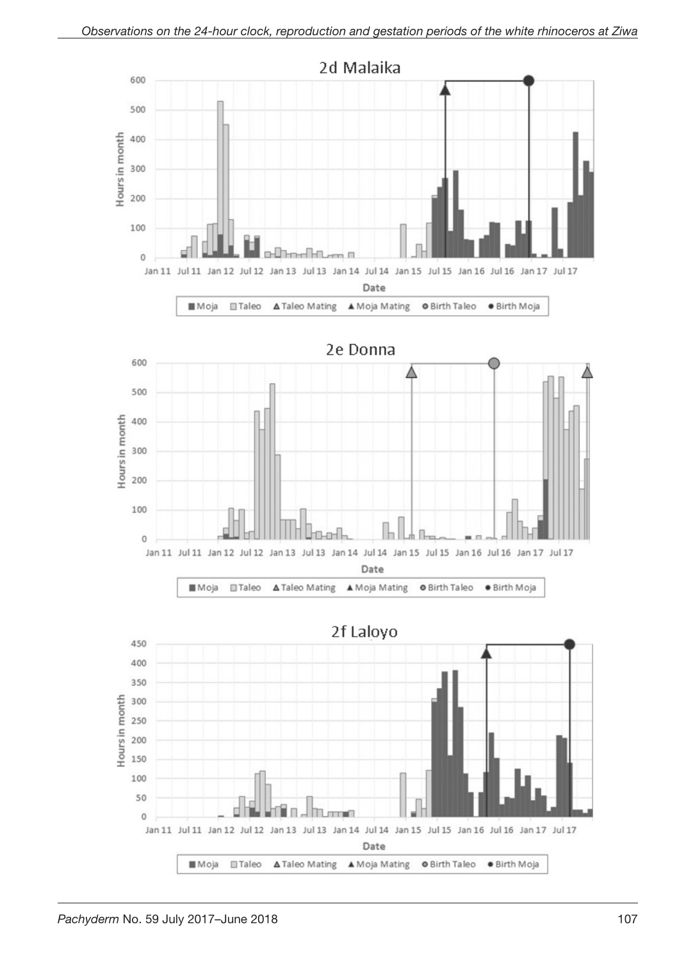